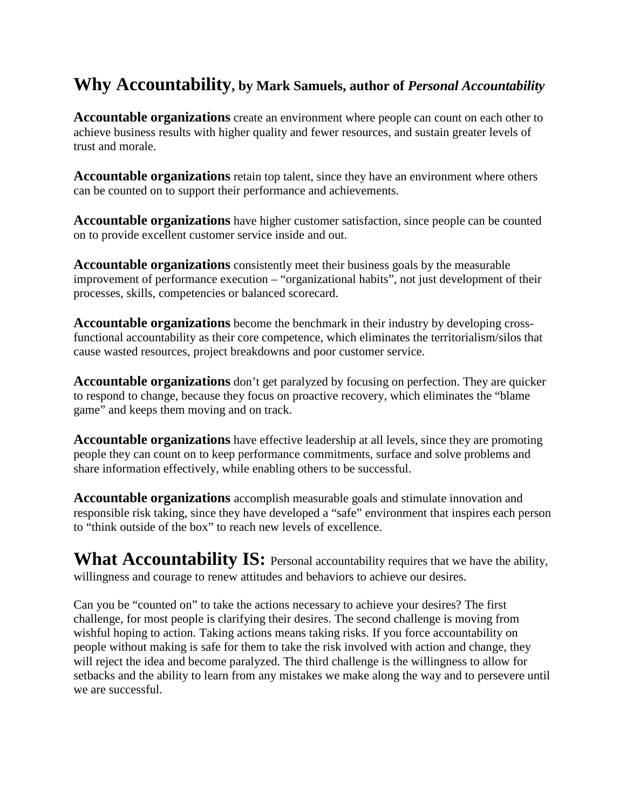## **Why Accountability, by Mark Samuels, author of** *Personal Accountability*

**Accountable organizations** create an environment where people can count on each other to achieve business results with higher quality and fewer resources, and sustain greater levels of trust and morale.

**Accountable organizations** retain top talent, since they have an environment where others can be counted on to support their performance and achievements.

**Accountable organizations** have higher customer satisfaction, since people can be counted on to provide excellent customer service inside and out.

**Accountable organizations** consistently meet their business goals by the measurable improvement of performance execution – "organizational habits", not just development of their processes, skills, competencies or balanced scorecard.

**Accountable organizations** become the benchmark in their industry by developing crossfunctional accountability as their core competence, which eliminates the territorialism/silos that cause wasted resources, project breakdowns and poor customer service.

**Accountable organizations** don't get paralyzed by focusing on perfection. They are quicker to respond to change, because they focus on proactive recovery, which eliminates the "blame game" and keeps them moving and on track.

**Accountable organizations** have effective leadership at all levels, since they are promoting people they can count on to keep performance commitments, surface and solve problems and share information effectively, while enabling others to be successful.

**Accountable organizations** accomplish measurable goals and stimulate innovation and responsible risk taking, since they have developed a "safe" environment that inspires each person to "think outside of the box" to reach new levels of excellence.

**What Accountability IS:** Personal accountability requires that we have the ability, willingness and courage to renew attitudes and behaviors to achieve our desires.

Can you be "counted on" to take the actions necessary to achieve your desires? The first challenge, for most people is clarifying their desires. The second challenge is moving from wishful hoping to action. Taking actions means taking risks. If you force accountability on people without making is safe for them to take the risk involved with action and change, they will reject the idea and become paralyzed. The third challenge is the willingness to allow for setbacks and the ability to learn from any mistakes we make along the way and to persevere until we are successful.